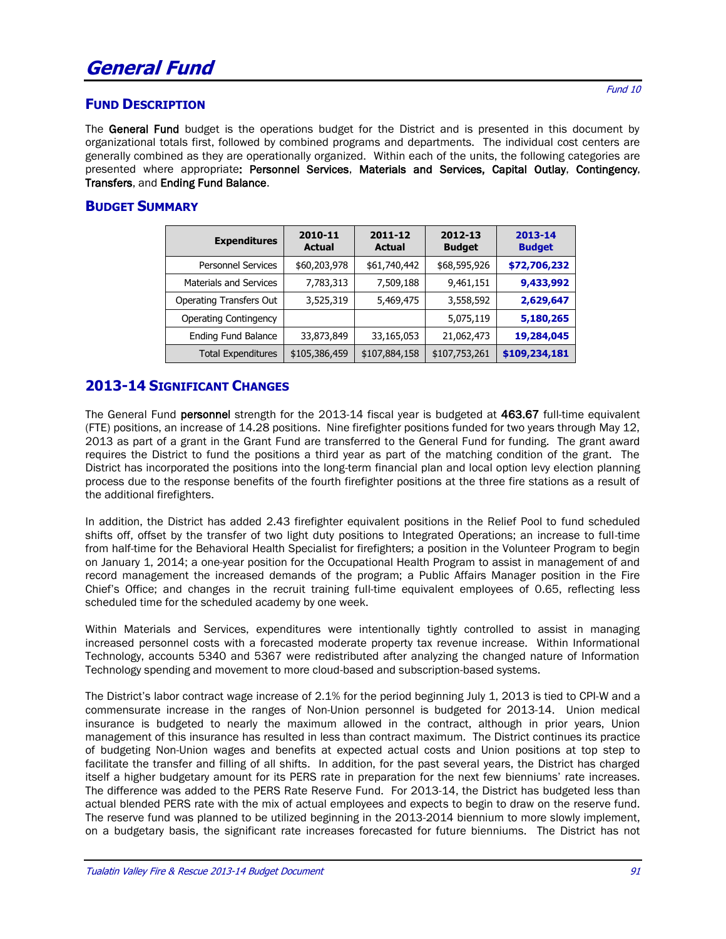#### **FUND DESCRIPTION**

The General Fund budget is the operations budget for the District and is presented in this document by organizational totals first, followed by combined programs and departments. The individual cost centers are generally combined as they are operationally organized. Within each of the units, the following categories are presented where appropriate: Personnel Services, Materials and Services, Capital Outlay, Contingency, Transfers, and Ending Fund Balance.

#### **BUDGET SUMMARY**

| <b>Expenditures</b>            | 2010-11<br><b>Actual</b> | 2011-12<br><b>Actual</b> | 2012-13<br><b>Budget</b> | 2013-14<br><b>Budget</b> |
|--------------------------------|--------------------------|--------------------------|--------------------------|--------------------------|
| <b>Personnel Services</b>      | \$60,203,978             | \$61,740,442             | \$68,595,926             | \$72,706,232             |
| <b>Materials and Services</b>  | 7,783,313                | 7,509,188                | 9,461,151                | 9,433,992                |
| <b>Operating Transfers Out</b> | 3,525,319                | 5,469,475                | 3,558,592                | 2,629,647                |
| <b>Operating Contingency</b>   |                          |                          | 5,075,119                | 5,180,265                |
| Ending Fund Balance            | 33,873,849               | 33,165,053               | 21,062,473               | 19,284,045               |
| <b>Total Expenditures</b>      | \$105,386,459            | \$107,884,158            | \$107,753,261            | \$109,234,181            |

#### **2013-14 SIGNIFICANT CHANGES**

The General Fund personnel strength for the 2013-14 fiscal year is budgeted at 463.67 full-time equivalent (FTE) positions, an increase of 14.28 positions. Nine firefighter positions funded for two years through May 12, 2013 as part of a grant in the Grant Fund are transferred to the General Fund for funding. The grant award requires the District to fund the positions a third year as part of the matching condition of the grant. The District has incorporated the positions into the long-term financial plan and local option levy election planning process due to the response benefits of the fourth firefighter positions at the three fire stations as a result of the additional firefighters.

In addition, the District has added 2.43 firefighter equivalent positions in the Relief Pool to fund scheduled shifts off, offset by the transfer of two light duty positions to Integrated Operations; an increase to full-time from half-time for the Behavioral Health Specialist for firefighters; a position in the Volunteer Program to begin on January 1, 2014; a one-year position for the Occupational Health Program to assist in management of and record management the increased demands of the program; a Public Affairs Manager position in the Fire Chief's Office; and changes in the recruit training full-time equivalent employees of 0.65, reflecting less scheduled time for the scheduled academy by one week.

Within Materials and Services, expenditures were intentionally tightly controlled to assist in managing increased personnel costs with a forecasted moderate property tax revenue increase. Within Informational Technology, accounts 5340 and 5367 were redistributed after analyzing the changed nature of Information Technology spending and movement to more cloud-based and subscription-based systems.

The District's labor contract wage increase of 2.1% for the period beginning July 1, 2013 is tied to CPI-W and a commensurate increase in the ranges of Non-Union personnel is budgeted for 2013-14. Union medical insurance is budgeted to nearly the maximum allowed in the contract, although in prior years, Union management of this insurance has resulted in less than contract maximum. The District continues its practice of budgeting Non-Union wages and benefits at expected actual costs and Union positions at top step to facilitate the transfer and filling of all shifts. In addition, for the past several years, the District has charged itself a higher budgetary amount for its PERS rate in preparation for the next few bienniums' rate increases. The difference was added to the PERS Rate Reserve Fund. For 2013-14, the District has budgeted less than actual blended PERS rate with the mix of actual employees and expects to begin to draw on the reserve fund. The reserve fund was planned to be utilized beginning in the 2013-2014 biennium to more slowly implement, on a budgetary basis, the significant rate increases forecasted for future bienniums. The District has not

Fund 10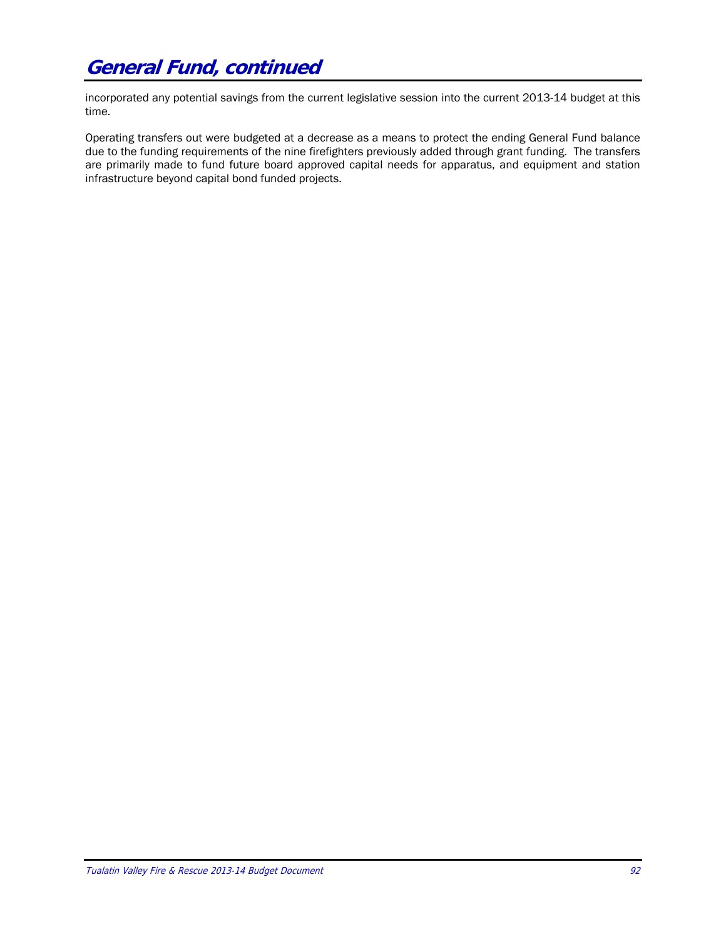incorporated any potential savings from the current legislative session into the current 2013-14 budget at this time.

Operating transfers out were budgeted at a decrease as a means to protect the ending General Fund balance due to the funding requirements of the nine firefighters previously added through grant funding. The transfers are primarily made to fund future board approved capital needs for apparatus, and equipment and station infrastructure beyond capital bond funded projects.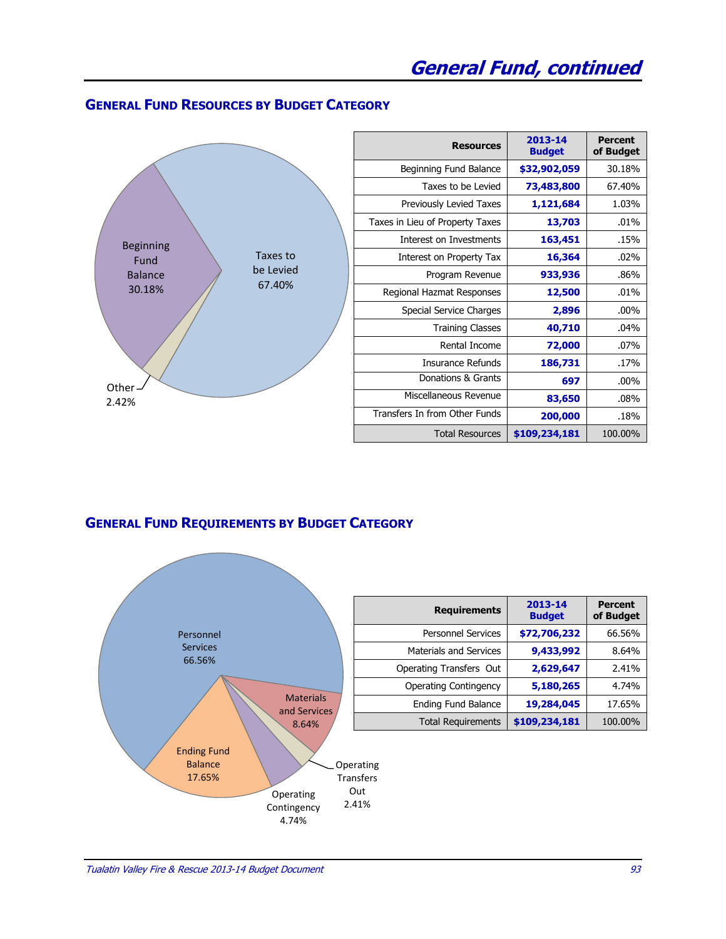#### **GENERAL FUND RESOURCES BY BUDGET CATEGORY**

|                             | <b>Resources</b>                | 2013-14<br><b>Budget</b> | <b>Percent</b><br>of Budget |
|-----------------------------|---------------------------------|--------------------------|-----------------------------|
|                             | Beginning Fund Balance          | \$32,902,059             | 30.18%                      |
|                             | Taxes to be Levied              | 73,483,800               | 67.40%                      |
|                             | Previously Levied Taxes         | 1,121,684                | 1.03%                       |
|                             | Taxes in Lieu of Property Taxes | 13,703                   | .01%                        |
| <b>Beginning</b>            | Interest on Investments         | 163,451                  | .15%                        |
| Taxes to<br>Fund            | Interest on Property Tax        | 16,364                   | .02%                        |
| be Levied<br><b>Balance</b> | Program Revenue                 | 933,936                  | .86%                        |
| 67.40%<br>30.18%            | Regional Hazmat Responses       | 12,500                   | .01%                        |
|                             | Special Service Charges         | 2,896                    | $.00\%$                     |
|                             | <b>Training Classes</b>         | 40,710                   | .04%                        |
|                             | Rental Income                   | 72,000                   | .07%                        |
|                             | <b>Insurance Refunds</b>        | 186,731                  | .17%                        |
| Other-                      | Donations & Grants              | 697                      | $.00\%$                     |
| 2.42%                       | Miscellaneous Revenue           | 83,650                   | .08%                        |
|                             | Transfers In from Other Funds   | 200,000                  | .18%                        |
|                             | <b>Total Resources</b>          | \$109,234,181            | 100.00%                     |

### **GENERAL FUND REQUIREMENTS BY BUDGET CATEGORY**



| <b>Requirements</b>           | 2013-14<br><b>Budget</b> | <b>Percent</b><br>of Budget |
|-------------------------------|--------------------------|-----------------------------|
| <b>Personnel Services</b>     | \$72,706,232             | 66.56%                      |
| <b>Materials and Services</b> | 9,433,992                | 8.64%                       |
| Operating Transfers Out       | 2,629,647                | 2.41%                       |
| <b>Operating Contingency</b>  | 5,180,265                | 4.74%                       |
| Ending Fund Balance           | 19,284,045               | 17.65%                      |
| <b>Total Requirements</b>     | \$109,234,181            | 100.00%                     |
|                               |                          |                             |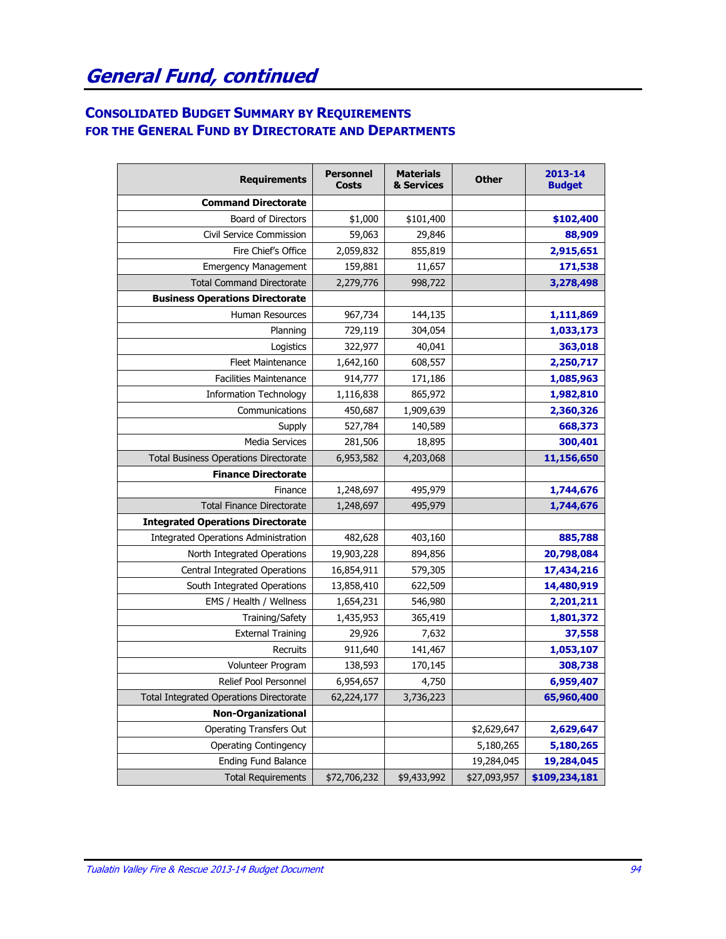### **CONSOLIDATED BUDGET SUMMARY BY REQUIREMENTS FOR THE GENERAL FUND BY DIRECTORATE AND DEPARTMENTS**

| <b>Requirements</b>                            | <b>Personnel</b><br><b>Costs</b> | <b>Materials</b><br>& Services | <b>Other</b> | 2013-14<br><b>Budget</b> |
|------------------------------------------------|----------------------------------|--------------------------------|--------------|--------------------------|
| <b>Command Directorate</b>                     |                                  |                                |              |                          |
| <b>Board of Directors</b>                      | \$1,000                          | \$101,400                      |              | \$102,400                |
| Civil Service Commission                       | 59,063                           | 29,846                         |              | 88,909                   |
| Fire Chief's Office                            | 2,059,832                        | 855,819                        |              | 2,915,651                |
| <b>Emergency Management</b>                    | 159,881                          | 11,657                         |              | 171,538                  |
| <b>Total Command Directorate</b>               | 2,279,776                        | 998,722                        |              | 3,278,498                |
| <b>Business Operations Directorate</b>         |                                  |                                |              |                          |
| Human Resources                                | 967,734                          | 144,135                        |              | 1,111,869                |
| Planning                                       | 729,119                          | 304,054                        |              | 1,033,173                |
| Logistics                                      | 322,977                          | 40,041                         |              | 363,018                  |
| <b>Fleet Maintenance</b>                       | 1,642,160                        | 608,557                        |              | 2,250,717                |
| <b>Facilities Maintenance</b>                  | 914,777                          | 171,186                        |              | 1,085,963                |
| <b>Information Technology</b>                  | 1,116,838                        | 865,972                        |              | 1,982,810                |
| Communications                                 | 450,687                          | 1,909,639                      |              | 2,360,326                |
| Supply                                         | 527,784                          | 140,589                        |              | 668,373                  |
| <b>Media Services</b>                          | 281,506                          | 18,895                         |              | 300,401                  |
| <b>Total Business Operations Directorate</b>   | 6,953,582                        | 4,203,068                      |              | 11,156,650               |
| <b>Finance Directorate</b>                     |                                  |                                |              |                          |
| Finance                                        | 1,248,697                        | 495,979                        |              | 1,744,676                |
| <b>Total Finance Directorate</b>               | 1,248,697                        | 495,979                        |              | 1,744,676                |
| <b>Integrated Operations Directorate</b>       |                                  |                                |              |                          |
| Integrated Operations Administration           | 482,628                          | 403,160                        |              | 885,788                  |
| North Integrated Operations                    | 19,903,228                       | 894,856                        |              | 20,798,084               |
| Central Integrated Operations                  | 16,854,911                       | 579,305                        |              | 17,434,216               |
| South Integrated Operations                    | 13,858,410                       | 622,509                        |              | 14,480,919               |
| EMS / Health / Wellness                        | 1,654,231                        | 546,980                        |              | 2,201,211                |
| Training/Safety                                | 1,435,953                        | 365,419                        |              | 1,801,372                |
| <b>External Training</b>                       | 29,926                           | 7,632                          |              | 37,558                   |
| Recruits                                       | 911,640                          | 141,467                        |              | 1,053,107                |
| Volunteer Program                              | 138,593                          | 170,145                        |              | 308,738                  |
| Relief Pool Personnel                          | 6,954,657                        | 4,750                          |              | 6,959,407                |
| <b>Total Integrated Operations Directorate</b> | 62,224,177                       | 3,736,223                      |              | 65,960,400               |
| <b>Non-Organizational</b>                      |                                  |                                |              |                          |
| <b>Operating Transfers Out</b>                 |                                  |                                | \$2,629,647  | 2,629,647                |
| <b>Operating Contingency</b>                   |                                  |                                | 5,180,265    | 5,180,265                |
| <b>Ending Fund Balance</b>                     |                                  |                                | 19,284,045   | 19,284,045               |
| <b>Total Requirements</b>                      | \$72,706,232                     | \$9,433,992                    | \$27,093,957 | \$109,234,181            |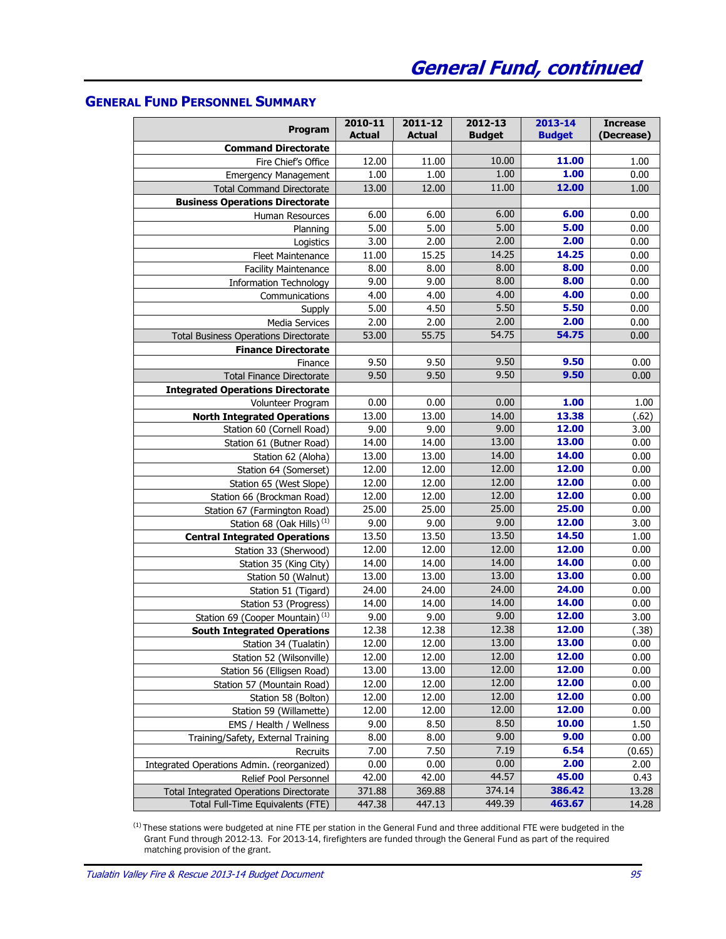#### **GENERAL FUND PERSONNEL SUMMARY**

| Program                                        | 2010-11<br><b>Actual</b> | 2011-12<br><b>Actual</b> | 2012-13<br><b>Budget</b> | 2013-14<br><b>Budget</b> | <b>Increase</b><br>(Decrease) |
|------------------------------------------------|--------------------------|--------------------------|--------------------------|--------------------------|-------------------------------|
| <b>Command Directorate</b>                     |                          |                          |                          |                          |                               |
| Fire Chief's Office                            | 12.00                    | 11.00                    | 10.00                    | 11.00                    | 1.00                          |
| <b>Emergency Management</b>                    | 1.00                     | 1.00                     | 1.00                     | 1.00                     | 0.00                          |
| <b>Total Command Directorate</b>               | 13.00                    | 12.00                    | 11.00                    | 12.00                    | 1.00                          |
| <b>Business Operations Directorate</b>         |                          |                          |                          |                          |                               |
| Human Resources                                | 6.00                     | 6.00                     | 6.00                     | 6.00                     | 0.00                          |
| Planning                                       | 5.00                     | 5.00                     | 5.00                     | 5.00                     | 0.00                          |
| Logistics                                      | 3.00                     | 2.00                     | 2.00                     | 2.00                     | 0.00                          |
| <b>Fleet Maintenance</b>                       | 11.00                    | 15.25                    | 14.25                    | 14.25                    | 0.00                          |
| <b>Facility Maintenance</b>                    | 8.00                     | 8.00                     | 8.00                     | 8.00                     | 0.00                          |
| <b>Information Technology</b>                  | 9.00                     | 9.00                     | 8.00                     | 8.00                     | 0.00                          |
| Communications                                 | 4.00                     | 4.00                     | 4.00                     | 4.00                     | 0.00                          |
| Supply                                         | 5.00                     | 4.50                     | 5.50                     | 5.50                     | 0.00                          |
| <b>Media Services</b>                          | 2.00                     | 2.00                     | 2.00                     | 2.00                     | 0.00                          |
| <b>Total Business Operations Directorate</b>   | 53.00                    | 55.75                    | 54.75                    | 54.75                    | 0.00                          |
| <b>Finance Directorate</b>                     |                          |                          |                          |                          |                               |
| Finance                                        | 9.50                     | 9.50                     | 9.50                     | 9.50                     | 0.00                          |
| <b>Total Finance Directorate</b>               | 9.50                     | 9.50                     | 9.50                     | 9.50                     | 0.00                          |
| <b>Integrated Operations Directorate</b>       |                          |                          |                          |                          |                               |
| Volunteer Program                              | 0.00                     | 0.00                     | 0.00                     | 1.00                     | 1.00                          |
| <b>North Integrated Operations</b>             | 13.00                    | 13.00                    | 14.00                    | 13.38                    | (.62)                         |
| Station 60 (Cornell Road)                      | 9.00                     | 9.00                     | 9.00                     | 12.00                    | 3.00                          |
| Station 61 (Butner Road)                       | 14.00                    | 14.00                    | 13.00                    | 13.00                    | 0.00                          |
| Station 62 (Aloha)                             | 13.00                    | 13.00                    | 14.00                    | 14.00                    | 0.00                          |
| Station 64 (Somerset)                          | 12.00                    | 12.00                    | 12.00                    | 12.00                    | 0.00                          |
| Station 65 (West Slope)                        | 12.00                    | 12.00                    | 12.00                    | 12.00                    | 0.00                          |
| Station 66 (Brockman Road)                     | 12.00                    | 12.00                    | 12.00                    | 12.00                    | 0.00                          |
| Station 67 (Farmington Road)                   | 25.00                    | 25.00                    | 25.00                    | 25.00                    | 0.00                          |
| Station 68 (Oak Hills) <sup>(1)</sup>          | 9.00                     | 9.00                     | 9.00                     | 12.00                    | 3.00                          |
| <b>Central Integrated Operations</b>           | 13.50                    | 13.50                    | 13.50                    | 14.50                    | 1.00                          |
| Station 33 (Sherwood)                          | 12.00                    | 12.00                    | 12.00                    | 12.00                    | 0.00                          |
| Station 35 (King City)                         | 14.00                    | 14.00                    | 14.00                    | 14.00                    | 0.00                          |
| Station 50 (Walnut)                            | 13.00                    | 13.00                    | 13.00                    | 13.00                    | 0.00                          |
| Station 51 (Tigard)                            | 24.00                    | 24.00                    | 24.00                    | 24.00                    | 0.00                          |
| Station 53 (Progress)                          | 14.00                    | 14.00                    | 14.00                    | 14.00                    | 0.00                          |
| Station 69 (Cooper Mountain) <sup>(1)</sup>    | 9.00                     | 9.00                     | 9.00                     | 12.00                    | 3.00                          |
| <b>South Integrated Operations</b>             | 12.38                    | 12.38                    | 12.38                    | 12.00                    | (.38)                         |
| Station 34 (Tualatin)                          | 12.00                    | 12.00                    | 13.00                    | 13.00                    | 0.00                          |
| Station 52 (Wilsonville)                       | 12.00                    | 12.00                    | 12.00                    | 12.00                    | 0.00                          |
| Station 56 (Elligsen Road)                     | 13.00                    | 13.00                    | 12.00                    | 12.00                    | 0.00                          |
| Station 57 (Mountain Road)                     | 12.00                    | 12.00                    | 12.00                    | 12.00                    | 0.00                          |
| Station 58 (Bolton)                            | 12.00                    | 12.00                    | 12.00                    | 12.00                    | 0.00                          |
| Station 59 (Willamette)                        | 12.00                    | 12.00                    | 12.00                    | 12.00                    | 0.00                          |
| EMS / Health / Wellness                        | 9.00                     | 8.50                     | 8.50                     | 10.00                    | 1.50                          |
| Training/Safety, External Training             | 8.00                     | 8.00                     | 9.00                     | 9.00                     | 0.00                          |
| Recruits                                       | 7.00                     | 7.50                     | 7.19                     | 6.54                     | (0.65)                        |
| Integrated Operations Admin. (reorganized)     | 0.00                     | 0.00                     | 0.00                     | 2.00                     | 2.00                          |
| Relief Pool Personnel                          | 42.00                    | 42.00                    | 44.57                    | 45.00                    | 0.43                          |
| <b>Total Integrated Operations Directorate</b> | 371.88                   | 369.88                   | 374.14                   | 386.42                   | 13.28                         |
| Total Full-Time Equivalents (FTE)              | 447.38                   | 447.13                   | 449.39                   | 463.67                   | 14.28                         |

 $<sup>(1)</sup>$  These stations were budgeted at nine FTE per station in the General Fund and three additional FTE were budgeted in the</sup> Grant Fund through 2012-13. For 2013-14, firefighters are funded through the General Fund as part of the required matching provision of the grant.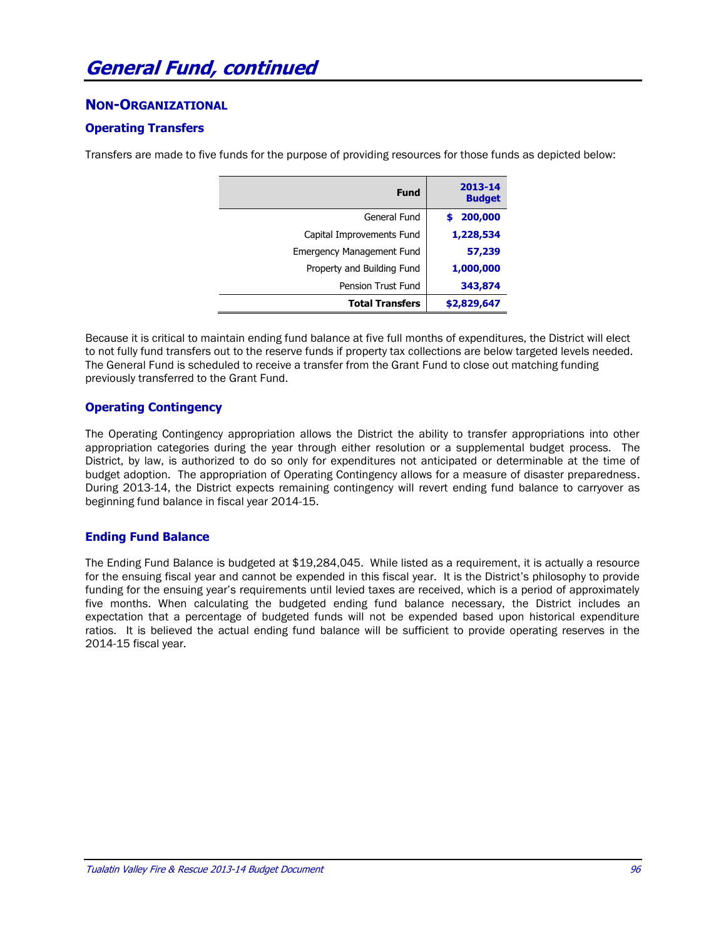#### **NON-ORGANIZATIONAL**

#### **Operating Transfers**

Transfers are made to five funds for the purpose of providing resources for those funds as depicted below:

| 2013-14<br><b>Budget</b> | <b>Fund</b>                      |  |  |  |  |  |  |
|--------------------------|----------------------------------|--|--|--|--|--|--|
| 200,000                  | General Fund                     |  |  |  |  |  |  |
| 1,228,534                | Capital Improvements Fund        |  |  |  |  |  |  |
| 57,239                   | <b>Emergency Management Fund</b> |  |  |  |  |  |  |
| 1,000,000                | Property and Building Fund       |  |  |  |  |  |  |
| 343,874                  | <b>Pension Trust Fund</b>        |  |  |  |  |  |  |
| \$2,829,647              | <b>Total Transfers</b>           |  |  |  |  |  |  |

Because it is critical to maintain ending fund balance at five full months of expenditures, the District will elect to not fully fund transfers out to the reserve funds if property tax collections are below targeted levels needed. The General Fund is scheduled to receive a transfer from the Grant Fund to close out matching funding previously transferred to the Grant Fund.

#### **Operating Contingency**

The Operating Contingency appropriation allows the District the ability to transfer appropriations into other appropriation categories during the year through either resolution or a supplemental budget process. The District, by law, is authorized to do so only for expenditures not anticipated or determinable at the time of budget adoption. The appropriation of Operating Contingency allows for a measure of disaster preparedness. During 2013-14, the District expects remaining contingency will revert ending fund balance to carryover as beginning fund balance in fiscal year 2014-15.

#### **Ending Fund Balance**

The Ending Fund Balance is budgeted at \$19,284,045. While listed as a requirement, it is actually a resource for the ensuing fiscal year and cannot be expended in this fiscal year. It is the District's philosophy to provide funding for the ensuing year's requirements until levied taxes are received, which is a period of approximately five months. When calculating the budgeted ending fund balance necessary, the District includes an expectation that a percentage of budgeted funds will not be expended based upon historical expenditure ratios. It is believed the actual ending fund balance will be sufficient to provide operating reserves in the 2014-15 fiscal year.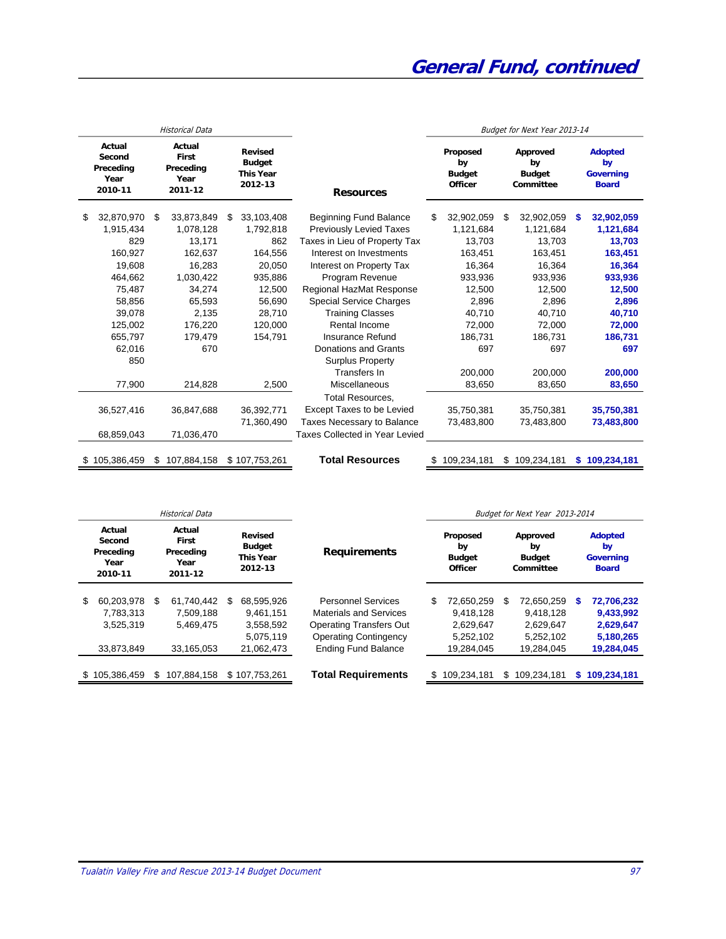|                                                  |               |     | <b>Historical Data</b>                                 |         |                                                                |                                   | Budget for Next Year 2013-14 |                                                                                                   |    |               |   |                                                          |
|--------------------------------------------------|---------------|-----|--------------------------------------------------------|---------|----------------------------------------------------------------|-----------------------------------|------------------------------|---------------------------------------------------------------------------------------------------|----|---------------|---|----------------------------------------------------------|
| Actual<br>Second<br>Preceding<br>Year<br>2010-11 |               |     | Actual<br><b>First</b><br>Preceding<br>Year<br>2011-12 |         | <b>Revised</b><br><b>Budget</b><br><b>This Year</b><br>2012-13 | <b>Resources</b>                  |                              | Proposed<br>Approved<br>by<br>by<br><b>Budget</b><br><b>Budget</b><br><b>Officer</b><br>Committee |    |               |   | <b>Adopted</b><br>by<br><b>Governing</b><br><b>Board</b> |
| \$                                               | 32,870,970    | \$. | 33,873,849                                             | \$      | 33,103,408                                                     | <b>Beginning Fund Balance</b>     | \$.                          | 32,902,059                                                                                        | \$ | 32,902,059    | S | 32,902,059                                               |
|                                                  | 1,915,434     |     | 1,078,128                                              |         | 1.792.818                                                      | <b>Previously Levied Taxes</b>    |                              | 1,121,684                                                                                         |    | 1,121,684     |   | 1,121,684                                                |
|                                                  | 829           |     | 13,171                                                 |         | 862                                                            | Taxes in Lieu of Property Tax     |                              | 13,703                                                                                            |    | 13,703        |   | 13,703                                                   |
|                                                  | 160,927       |     | 162,637                                                |         | 164,556                                                        | Interest on Investments           |                              | 163,451                                                                                           |    | 163,451       |   | 163,451                                                  |
|                                                  | 19,608        |     | 16,283                                                 |         | 20,050                                                         | Interest on Property Tax          |                              | 16,364                                                                                            |    | 16,364        |   | 16,364                                                   |
|                                                  | 464,662       |     | 1,030,422                                              | 935,886 |                                                                | Program Revenue                   |                              | 933,936                                                                                           |    | 933,936       |   | 933,936                                                  |
|                                                  | 75,487        |     | 34,274                                                 |         | 12,500                                                         | Regional HazMat Response          |                              | 12,500                                                                                            |    | 12,500        |   | 12,500                                                   |
|                                                  | 58,856        |     | 65,593                                                 |         | 56.690                                                         | <b>Special Service Charges</b>    |                              | 2,896                                                                                             |    | 2,896         |   | 2,896                                                    |
|                                                  | 39,078        |     | 2,135                                                  |         | 28,710                                                         | <b>Training Classes</b>           |                              | 40,710                                                                                            |    | 40,710        |   | 40,710                                                   |
|                                                  | 125,002       |     | 176,220                                                |         | 120.000                                                        | Rental Income                     |                              | 72.000                                                                                            |    | 72.000        |   | 72,000                                                   |
|                                                  | 655,797       |     | 179,479                                                |         | 154,791                                                        | <b>Insurance Refund</b>           |                              | 186,731                                                                                           |    | 186,731       |   | 186,731                                                  |
|                                                  | 62,016        |     | 670                                                    |         |                                                                | <b>Donations and Grants</b>       |                              | 697                                                                                               |    | 697           |   | 697                                                      |
|                                                  | 850           |     |                                                        |         |                                                                | <b>Surplus Property</b>           |                              |                                                                                                   |    |               |   |                                                          |
|                                                  |               |     |                                                        |         |                                                                | Transfers In                      |                              | 200.000                                                                                           |    | 200.000       |   | 200,000                                                  |
|                                                  | 77,900        |     | 214,828                                                |         | 2,500                                                          | <b>Miscellaneous</b>              |                              | 83,650                                                                                            |    | 83,650        |   | 83,650                                                   |
|                                                  |               |     |                                                        |         |                                                                | <b>Total Resources.</b>           |                              |                                                                                                   |    |               |   |                                                          |
|                                                  | 36,527,416    |     | 36,847,688                                             |         | 36,392,771                                                     | <b>Except Taxes to be Levied</b>  |                              | 35,750,381                                                                                        |    | 35,750,381    |   | 35,750,381                                               |
|                                                  |               |     |                                                        |         | 71,360,490                                                     | <b>Taxes Necessary to Balance</b> |                              | 73,483,800                                                                                        |    | 73,483,800    |   | 73,483,800                                               |
|                                                  | 68,859,043    |     | 71,036,470                                             |         |                                                                | Taxes Collected in Year Levied    |                              |                                                                                                   |    |               |   |                                                          |
|                                                  | \$105,386,459 | \$  | 107,884,158                                            |         | \$107,753,261                                                  | <b>Total Resources</b>            |                              | 109,234,181                                                                                       |    | \$109,234,181 |   | \$109,234,181                                            |

| Historical Data |                                                  |    |                                                 |    |                                                         |                                                                          |    |                                              |     | Budget for Next Year 2013-2014                           |   |                         |  |  |
|-----------------|--------------------------------------------------|----|-------------------------------------------------|----|---------------------------------------------------------|--------------------------------------------------------------------------|----|----------------------------------------------|-----|----------------------------------------------------------|---|-------------------------|--|--|
|                 | Actual<br>Second<br>Preceding<br>Year<br>2010-11 |    | Actual<br>First<br>Preceding<br>Year<br>2011-12 |    | Revised<br><b>Budget</b><br><b>This Year</b><br>2012-13 | Proposed<br>by<br><b>Requirements</b><br><b>Budget</b><br><b>Officer</b> |    | Approved<br>by<br><b>Budget</b><br>Committee |     | <b>Adopted</b><br>by<br><b>Governing</b><br><b>Board</b> |   |                         |  |  |
| \$              | 60,203,978<br>7,783,313                          | \$ | 61.740.442<br>7,509,188                         | \$ | 68.595.926<br>9.461.151                                 | <b>Personnel Services</b><br>Materials and Services                      | \$ | 72.650.259<br>9.418.128                      | \$. | 72,650,259<br>9.418.128                                  | S | 72,706,232<br>9,433,992 |  |  |
|                 | 3,525,319                                        |    | 5.469.475                                       |    | 3,558,592                                               | <b>Operating Transfers Out</b>                                           |    | 2,629,647                                    |     | 2,629,647                                                |   | 2,629,647               |  |  |
|                 |                                                  |    |                                                 |    | 5.075.119                                               | <b>Operating Contingency</b>                                             |    | 5,252,102                                    |     | 5.252.102                                                |   | 5,180,265               |  |  |
|                 | 33,873,849                                       |    | 33,165,053                                      |    | 21,062,473                                              | <b>Ending Fund Balance</b>                                               |    | 19,284,045                                   |     | 19,284,045                                               |   | 19,284,045              |  |  |
| S.              | 105,386,459                                      |    | 107.884.158                                     |    | \$107.753.261                                           | <b>Total Requirements</b>                                                |    | 109,234,181                                  | \$. | 109.234.181                                              |   | 109,234,181             |  |  |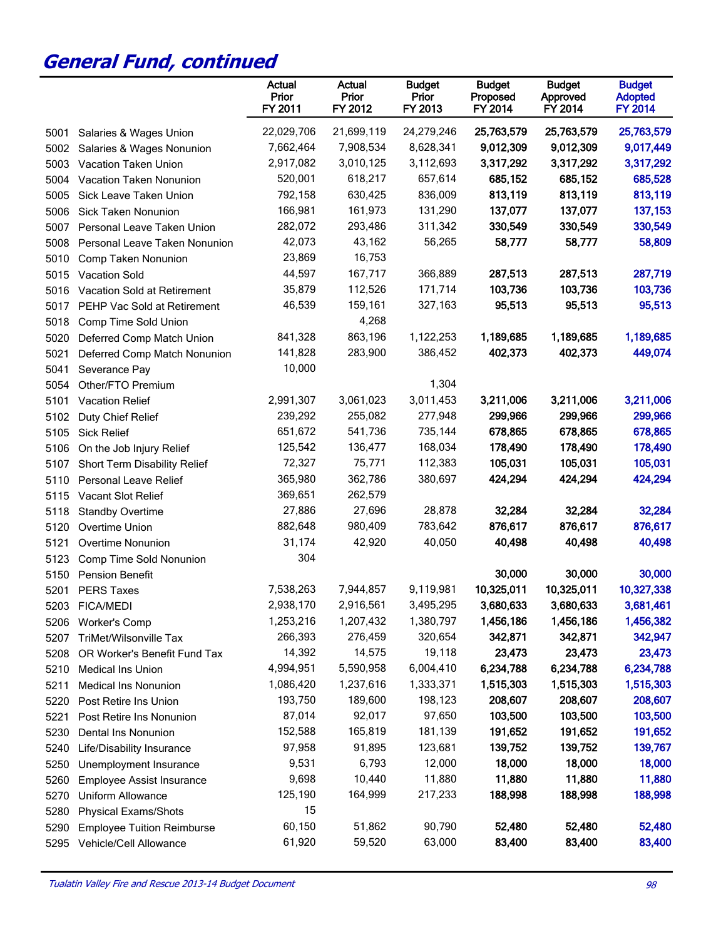|      |                                   | Actual<br>Prior<br>FY 2011 | Actual<br>Prior<br>FY 2012 | <b>Budget</b><br>Prior<br>FY 2013 | <b>Budget</b><br>Proposed<br>FY 2014 | <b>Budget</b><br>Approved<br>FY 2014 | <b>Budget</b><br><b>Adopted</b><br><b>FY 2014</b> |
|------|-----------------------------------|----------------------------|----------------------------|-----------------------------------|--------------------------------------|--------------------------------------|---------------------------------------------------|
| 5001 | Salaries & Wages Union            | 22,029,706                 | 21,699,119                 | 24,279,246                        | 25,763,579                           | 25,763,579                           | 25,763,579                                        |
| 5002 | Salaries & Wages Nonunion         | 7,662,464                  | 7,908,534                  | 8,628,341                         | 9,012,309                            | 9,012,309                            | 9,017,449                                         |
| 5003 | Vacation Taken Union              | 2,917,082                  | 3,010,125                  | 3,112,693                         | 3,317,292                            | 3,317,292                            | 3,317,292                                         |
| 5004 | Vacation Taken Nonunion           | 520,001                    | 618,217                    | 657,614                           | 685,152                              | 685,152                              | 685,528                                           |
| 5005 | Sick Leave Taken Union            | 792,158                    | 630,425                    | 836,009                           | 813,119                              | 813,119                              | 813,119                                           |
| 5006 | Sick Taken Nonunion               | 166,981                    | 161,973                    | 131,290                           | 137,077                              | 137,077                              | 137,153                                           |
| 5007 | Personal Leave Taken Union        | 282,072                    | 293,486                    | 311,342                           | 330,549                              | 330,549                              | 330,549                                           |
| 5008 | Personal Leave Taken Nonunion     | 42,073                     | 43,162                     | 56,265                            | 58,777                               | 58,777                               | 58,809                                            |
| 5010 | Comp Taken Nonunion               | 23,869                     | 16,753                     |                                   |                                      |                                      |                                                   |
| 5015 | <b>Vacation Sold</b>              | 44,597                     | 167,717                    | 366,889                           | 287,513                              | 287,513                              | 287,719                                           |
| 5016 | Vacation Sold at Retirement       | 35,879                     | 112,526                    | 171,714                           | 103,736                              | 103,736                              | 103,736                                           |
| 5017 | PEHP Vac Sold at Retirement       | 46,539                     | 159,161                    | 327,163                           | 95,513                               | 95,513                               | 95,513                                            |
| 5018 | Comp Time Sold Union              |                            | 4,268                      |                                   |                                      |                                      |                                                   |
| 5020 | Deferred Comp Match Union         | 841,328                    | 863,196                    | 1,122,253                         | 1,189,685                            | 1,189,685                            | 1,189,685                                         |
| 5021 | Deferred Comp Match Nonunion      | 141,828                    | 283,900                    | 386,452                           | 402,373                              | 402,373                              | 449,074                                           |
| 5041 | Severance Pay                     | 10,000                     |                            |                                   |                                      |                                      |                                                   |
| 5054 | Other/FTO Premium                 |                            |                            | 1,304                             |                                      |                                      |                                                   |
| 5101 | <b>Vacation Relief</b>            | 2,991,307                  | 3,061,023                  | 3,011,453                         | 3,211,006                            | 3,211,006                            | 3,211,006                                         |
| 5102 | Duty Chief Relief                 | 239,292                    | 255,082                    | 277,948                           | 299,966                              | 299,966                              | 299,966                                           |
| 5105 | <b>Sick Relief</b>                | 651,672                    | 541,736                    | 735,144                           | 678,865                              | 678,865                              | 678,865                                           |
| 5106 | On the Job Injury Relief          | 125,542                    | 136,477                    | 168,034                           | 178,490                              | 178,490                              | 178,490                                           |
| 5107 | Short Term Disability Relief      | 72,327                     | 75,771                     | 112,383                           | 105,031                              | 105,031                              | 105,031                                           |
| 5110 | <b>Personal Leave Relief</b>      | 365,980                    | 362,786                    | 380,697                           | 424,294                              | 424,294                              | 424,294                                           |
| 5115 | Vacant Slot Relief                | 369,651                    | 262,579                    |                                   |                                      |                                      |                                                   |
| 5118 | <b>Standby Overtime</b>           | 27,886                     | 27,696                     | 28,878                            | 32,284                               | 32,284                               | 32,284                                            |
| 5120 | Overtime Union                    | 882,648                    | 980,409                    | 783,642                           | 876,617                              | 876,617                              | 876,617                                           |
| 5121 | Overtime Nonunion                 | 31,174                     | 42,920                     | 40,050                            | 40,498                               | 40,498                               | 40,498                                            |
| 5123 | Comp Time Sold Nonunion           | 304                        |                            |                                   |                                      |                                      |                                                   |
| 5150 | <b>Pension Benefit</b>            |                            |                            |                                   | 30,000                               | 30,000                               | 30,000                                            |
| 5201 | <b>PERS Taxes</b>                 | 7,538,263                  | 7,944,857                  | 9,119,981                         | 10,325,011                           | 10,325,011                           | 10,327,338                                        |
| 5203 | <b>FICA/MEDI</b>                  | 2,938,170                  | 2,916,561                  | 3,495,295                         | 3,680,633                            | 3,680,633                            | 3,681,461                                         |
| 5206 | <b>Worker's Comp</b>              | 1,253,216                  | 1,207,432                  | 1,380,797                         | 1,456,186                            | 1,456,186                            | 1,456,382                                         |
| 5207 | TriMet/Wilsonville Tax            | 266,393                    | 276,459                    | 320,654                           | 342,871                              | 342,871                              | 342,947                                           |
| 5208 | OR Worker's Benefit Fund Tax      | 14,392                     | 14,575                     | 19,118                            | 23,473                               | 23,473                               | 23,473                                            |
| 5210 | <b>Medical Ins Union</b>          | 4,994,951                  | 5,590,958                  | 6,004,410                         | 6,234,788                            | 6,234,788                            | 6,234,788                                         |
| 5211 | <b>Medical Ins Nonunion</b>       | 1,086,420                  | 1,237,616                  | 1,333,371                         | 1,515,303                            | 1,515,303                            | 1,515,303                                         |
| 5220 | Post Retire Ins Union             | 193,750                    | 189,600                    | 198,123                           | 208,607                              | 208,607                              | 208,607                                           |
| 5221 | Post Retire Ins Nonunion          | 87,014                     | 92,017                     | 97,650                            | 103,500                              | 103,500                              | 103,500                                           |
| 5230 | Dental Ins Nonunion               | 152,588                    | 165,819                    | 181,139                           | 191,652                              | 191,652                              | 191,652                                           |
| 5240 | Life/Disability Insurance         | 97,958                     | 91,895                     | 123,681                           | 139,752                              | 139,752                              | 139,767                                           |
| 5250 | Unemployment Insurance            | 9,531                      | 6,793                      | 12,000                            | 18,000                               | 18,000                               | 18,000                                            |
| 5260 | <b>Employee Assist Insurance</b>  | 9,698                      | 10,440                     | 11,880                            | 11,880                               | 11,880                               | 11,880                                            |
| 5270 | Uniform Allowance                 | 125,190                    | 164,999                    | 217,233                           | 188,998                              | 188,998                              | 188,998                                           |
| 5280 | <b>Physical Exams/Shots</b>       | 15                         |                            |                                   |                                      |                                      |                                                   |
| 5290 | <b>Employee Tuition Reimburse</b> | 60,150                     | 51,862                     | 90,790                            | 52,480                               | 52,480                               | 52,480                                            |
| 5295 | Vehicle/Cell Allowance            | 61,920                     | 59,520                     | 63,000                            | 83,400                               | 83,400                               | 83,400                                            |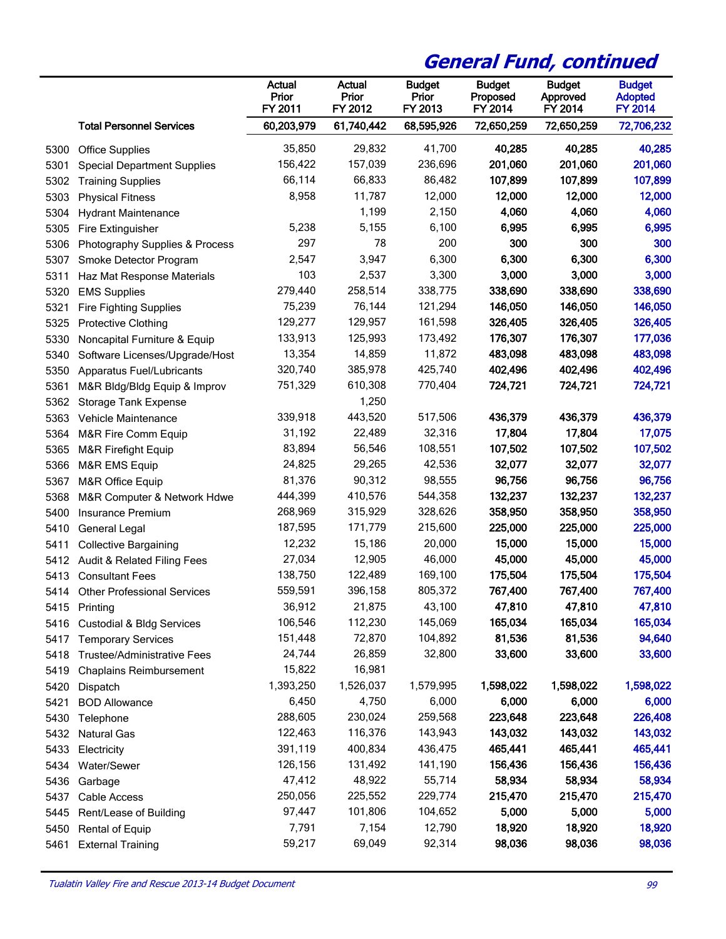|      |                                    | <b>Actual</b><br>Prior<br>FY 2011 | Actual<br>Prior<br>FY 2012 | <b>Budget</b><br>Prior<br>FY 2013 | <b>Budget</b><br>Proposed<br>FY 2014 | <b>Budget</b><br>Approved<br>FY 2014 | <b>Budget</b><br><b>Adopted</b><br><b>FY 2014</b> |
|------|------------------------------------|-----------------------------------|----------------------------|-----------------------------------|--------------------------------------|--------------------------------------|---------------------------------------------------|
|      | <b>Total Personnel Services</b>    | 60,203,979                        | 61,740,442                 | 68,595,926                        | 72,650,259                           | 72,650,259                           | 72,706,232                                        |
| 5300 | <b>Office Supplies</b>             | 35,850                            | 29,832                     | 41,700                            | 40,285                               | 40,285                               | 40,285                                            |
| 5301 | <b>Special Department Supplies</b> | 156,422                           | 157,039                    | 236,696                           | 201,060                              | 201,060                              | 201,060                                           |
| 5302 | <b>Training Supplies</b>           | 66,114                            | 66,833                     | 86,482                            | 107,899                              | 107,899                              | 107,899                                           |
| 5303 | <b>Physical Fitness</b>            | 8,958                             | 11,787                     | 12,000                            | 12,000                               | 12,000                               | 12,000                                            |
| 5304 | <b>Hydrant Maintenance</b>         |                                   | 1,199                      | 2,150                             | 4,060                                | 4,060                                | 4,060                                             |
| 5305 | Fire Extinguisher                  | 5,238                             | 5,155                      | 6,100                             | 6,995                                | 6,995                                | 6,995                                             |
| 5306 | Photography Supplies & Process     | 297                               | 78                         | 200                               | 300                                  | 300                                  | 300                                               |
| 5307 | Smoke Detector Program             | 2,547                             | 3,947                      | 6,300                             | 6,300                                | 6,300                                | 6,300                                             |
| 5311 | Haz Mat Response Materials         | 103                               | 2,537                      | 3,300                             | 3,000                                | 3,000                                | 3,000                                             |
| 5320 | <b>EMS Supplies</b>                | 279,440                           | 258,514                    | 338,775                           | 338,690                              | 338,690                              | 338,690                                           |
| 5321 | <b>Fire Fighting Supplies</b>      | 75,239                            | 76,144                     | 121,294                           | 146,050                              | 146,050                              | 146,050                                           |
| 5325 | <b>Protective Clothing</b>         | 129,277                           | 129,957                    | 161,598                           | 326,405                              | 326,405                              | 326,405                                           |
| 5330 | Noncapital Furniture & Equip       | 133,913                           | 125,993                    | 173,492                           | 176,307                              | 176,307                              | 177,036                                           |
| 5340 | Software Licenses/Upgrade/Host     | 13,354                            | 14,859                     | 11,872                            | 483,098                              | 483,098                              | 483,098                                           |
| 5350 | Apparatus Fuel/Lubricants          | 320,740                           | 385,978                    | 425,740                           | 402,496                              | 402,496                              | 402,496                                           |
| 5361 | M&R Bldg/Bldg Equip & Improv       | 751,329                           | 610,308                    | 770,404                           | 724,721                              | 724,721                              | 724,721                                           |
| 5362 | <b>Storage Tank Expense</b>        |                                   | 1,250                      |                                   |                                      |                                      |                                                   |
| 5363 | <b>Vehicle Maintenance</b>         | 339,918                           | 443,520                    | 517,506                           | 436,379                              | 436,379                              | 436,379                                           |
| 5364 | M&R Fire Comm Equip                | 31,192                            | 22,489                     | 32,316                            | 17,804                               | 17,804                               | 17,075                                            |
| 5365 | M&R Firefight Equip                | 83,894                            | 56,546                     | 108,551                           | 107,502                              | 107,502                              | 107,502                                           |
| 5366 | M&R EMS Equip                      | 24,825                            | 29,265                     | 42,536                            | 32,077                               | 32,077                               | 32,077                                            |
| 5367 | M&R Office Equip                   | 81,376                            | 90,312                     | 98,555                            | 96,756                               | 96,756                               | 96,756                                            |
| 5368 | M&R Computer & Network Hdwe        | 444,399                           | 410,576                    | 544,358                           | 132,237                              | 132,237                              | 132,237                                           |
| 5400 | Insurance Premium                  | 268,969                           | 315,929                    | 328,626                           | 358,950                              | 358,950                              | 358,950                                           |
| 5410 | General Legal                      | 187,595                           | 171,779                    | 215,600                           | 225,000                              | 225,000                              | 225,000                                           |
| 5411 | <b>Collective Bargaining</b>       | 12,232                            | 15,186                     | 20,000                            | 15,000                               | 15,000                               | 15,000                                            |
| 5412 | Audit & Related Filing Fees        | 27,034                            | 12,905                     | 46,000                            | 45,000                               | 45,000                               | 45,000                                            |
| 5413 | <b>Consultant Fees</b>             | 138,750                           | 122,489                    | 169,100                           | 175,504                              | 175,504                              | 175,504                                           |
|      | 5414 Other Professional Services   | 559,591                           | 396,158                    | 805,372                           | 767,400                              | 767,400                              | 767,400                                           |
|      | 5415 Printing                      | 36,912                            | 21,875                     | 43,100                            | 47,810                               | 47,810                               | 47,810                                            |
|      | 5416 Custodial & Bldg Services     | 106,546                           | 112,230                    | 145,069                           | 165,034                              | 165,034                              | 165,034                                           |
| 5417 | <b>Temporary Services</b>          | 151,448                           | 72,870                     | 104,892                           | 81,536                               | 81,536                               | 94,640                                            |
| 5418 | <b>Trustee/Administrative Fees</b> | 24,744                            | 26,859                     | 32,800                            | 33,600                               | 33,600                               | 33,600                                            |
| 5419 | <b>Chaplains Reimbursement</b>     | 15,822                            | 16,981                     |                                   |                                      |                                      |                                                   |
| 5420 | Dispatch                           | 1,393,250                         | 1,526,037                  | 1,579,995                         | 1,598,022                            | 1,598,022                            | 1,598,022                                         |
| 5421 | <b>BOD Allowance</b>               | 6,450                             | 4,750                      | 6,000                             | 6,000                                | 6,000                                | 6,000                                             |
| 5430 | Telephone                          | 288,605                           | 230,024                    | 259,568                           | 223,648                              | 223,648                              | 226,408                                           |
| 5432 | <b>Natural Gas</b>                 | 122,463                           | 116,376                    | 143,943                           | 143,032                              | 143,032                              | 143,032                                           |
| 5433 | Electricity                        | 391,119                           | 400,834                    | 436,475                           | 465,441                              | 465,441                              | 465,441                                           |
| 5434 | Water/Sewer                        | 126,156                           | 131,492                    | 141,190                           | 156,436                              | 156,436                              | 156,436                                           |
| 5436 | Garbage                            | 47,412                            | 48,922                     | 55,714                            | 58,934                               | 58,934                               | 58,934                                            |
| 5437 | Cable Access                       | 250,056                           | 225,552                    | 229,774                           | 215,470                              | 215,470                              | 215,470                                           |
| 5445 | Rent/Lease of Building             | 97,447                            | 101,806                    | 104,652                           | 5,000                                | 5,000                                | 5,000                                             |
| 5450 | <b>Rental of Equip</b>             | 7,791                             | 7,154                      | 12,790                            | 18,920                               | 18,920                               | 18,920                                            |
| 5461 | <b>External Training</b>           | 59,217                            | 69,049                     | 92,314                            | 98,036                               | 98,036                               | 98,036                                            |